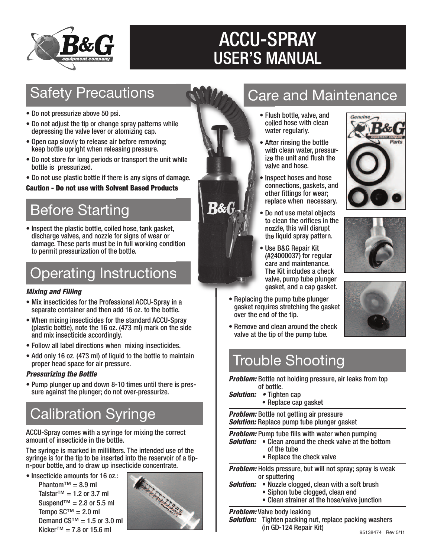

# ACCU-SPRAY USER'S MANUAL

**R&G** 

### **Safety Precautions**

- Do not pressurize above 50 psi.
- Do not adjust the tip or change spray patterns while depressing the valve lever or atomizing cap.
- Open cap slowly to release air before removing; keep bottle upright when releasing pressure.
- Do not store for long periods or transport the unit while bottle is pressurized.
- Do not use plastic bottle if there is any signs of damage.

#### **Caution - Do not use with Solvent Based Products**

## Before Starting

• Inspect the plastic bottle, coiled hose, tank gasket, discharge valves, and nozzle for signs of wear or damage. These parts must be in full working condition to permit pressurization of the bottle.

# Operating Instructions

#### *Mixing and Filling*

- Mix insecticides for the Professional ACCU-Spray in a separate container and then add 16 oz. to the bottle.
- When mixing insecticides for the standard ACCU-Spray (plastic bottle), note the 16 oz. (473 ml) mark on the side and mix insecticide accordingly.
- Follow all label directions when mixing insecticides.
- Add only 16 oz. (473 ml) of liquid to the bottle to maintain proper head space for air pressure.

#### *Pressurizing the Bottle*

• Pump plunger up and down 8-10 times until there is pressure against the plunger; do not over-pressurize.

# Calibration Syringe

ACCU-Spray comes with a syringe for mixing the correct amount of insecticide in the bottle.

The syringe is marked in milliliters. The intended use of the syringe is for the tip to be inserted into the reservoir of a tipn-pour bottle, and to draw up insecticide concentrate.

• Insecticide amounts for 16 oz.: Phantom™ =  $8.9$  ml Talstar<sup>™</sup> = 1.2 or 3.7 ml Suspend<sup>™</sup> = 2.8 or 5.5 ml Tempo SC™ =  $2.0$  ml Demand  $CS^{TM} = 1.5$  or 3.0 ml Kicker™ = 7.8 or 15.6 ml



### Care and Maintenance

- Flush bottle, valve, and coiled hose with clean water regularly.
- After rinsing the bottle with clean water, pressurize the unit and flush the valve and hose.
- Inspect hoses and hose connections, gaskets, and other fittings for wear; replace when necessary.
- Do not use metal objects to clean the orifices in the nozzle, this will disrupt the liquid spray pattern.
- Use B&G Repair Kit (#24000037) for regular care and maintenance. The Kit includes a check valve, pump tube plunger gasket, and a cap gasket.
- Replacing the pump tube plunger gasket requires stretching the gasket over the end of the tip.







• Remove and clean around the check valve at the tip of the pump tube.

### Trouble Shooting

*Problem:* Bottle not holding pressure, air leaks from top of bottle.

- *Solution: •* Tighten cap
	- Replace cap gasket

*Problem:* Bottle not getting air pressure *Solution:* Replace pump tube plunger gasket

*Problem:* Pump tube fills with water when pumping

- *Solution:* Clean around the check valve at the bottom of the tube
	- Replace the check valve

*Problem:* Holds pressure, but will not spray; spray is weak or sputtering

- *Solution:* Nozzle clogged, clean with a soft brush
	- Siphon tube clogged, clean end
	- Clean strainer at the hose/valve junction

#### *Problem:* Valve body leaking

*Solution:* Tighten packing nut, replace packing washers (in GD-124 Repair Kit)